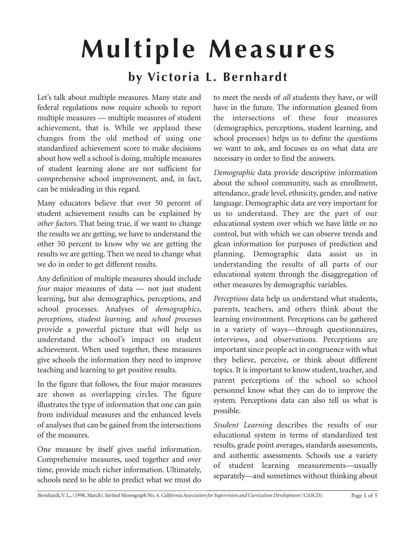# **Multiple Measures by Victoria L. Bernhardt**

Let's talk about multiple measures. Many state and federal regulations now require schools to report multiple measures — multiple measures of student achievement, that is. While we applaud these changes from the old method of using one standardized achievement score to make decisions about how well a school is doing, multiple measures of student learning alone are not sufficient for comprehensive school improvement, and, in fact, can be misleading in this regard.

Many educators believe that over 50 percent of student achievement results can be explained by *other factors*. That being true, if we want to change the results we are getting, we have to understand the other 50 percent to know why we are getting the results we are getting. Then we need to change what we do in order to get different results.

Any definition of multiple measures should include *four* major measures of data — not just student learning, but also demographics, perceptions, and school processes. Analyses of *demographics, perceptions, student learning,* and *school processes* provide a powerful picture that will help us understand the school's impact on student achievement. When used together, these measures give schools the information they need to improve teaching and learning to get positive results.

In the figure that follows, the four major measures are shown as overlapping circles. The figure illustrates the type of information that one can gain from individual measures and the enhanced levels of analyses that can be gained from the intersections of the measures.

One measure by itself gives useful information. Comprehensive measures, used together and over time, provide much richer information. Ultimately, schools need to be able to predict what we must do

to meet the needs of *all* students they have, or will have in the future. The information gleaned from the intersections of these four measures (demographics, perceptions, student learning, and school processes) helps us to define the questions we want to ask, and focuses us on what data are necessary in order to find the answers.

*Demographic* data provide descriptive information about the school community, such as enrollment, attendance, grade level, ethnicity, gender, and native language. Demographic data are very important for us to understand. They are the part of our educational system over which we have little or no control, but with which we can observe trends and glean information for purposes of prediction and planning. Demographic data assist us in understanding the results of all parts of our educational system through the disaggregation of other measures by demographic variables.

*Perceptions* data help us understand what students, parents, teachers, and others think about the learning environment. Perceptions can be gathered in a variety of ways—through questionnaires, interviews, and observations. Perceptions are important since people act in congruence with what they believe, perceive, or think about different topics. It is important to know student, teacher, and parent perceptions of the school so school personnel know what they can do to improve the system. Perceptions data can also tell us what is possible.

*Student Learning* describes the results of our educational system in terms of standardized test results, grade point averages, standards assessments, and authentic assessments. Schools use a variety of student learning measurements—usually separately—and sometimes without thinking about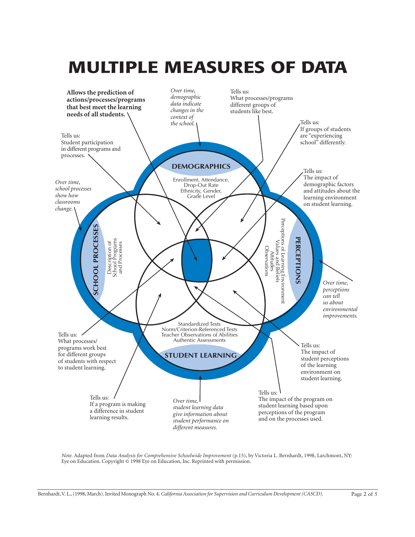

*Note.* Adapted from *Data Analysis for Comprehensive Schoolwide Improvement* (p.15), by Victoria L. Bernhardt, 1998, Larchmont, NY: Eye on Education. Copyright © 1998 Eye on Education, Inc. Reprinted with permission.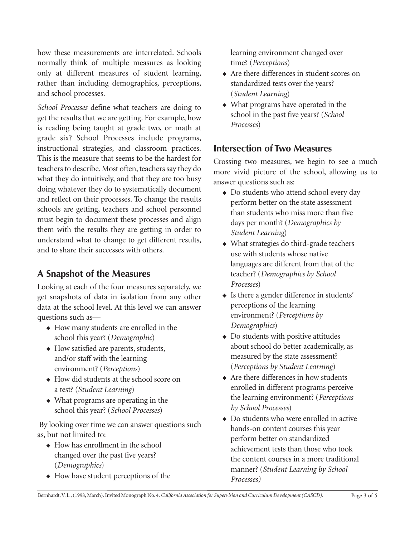how these measurements are interrelated. Schools normally think of multiple measures as looking only at different measures of student learning, rather than including demographics, perceptions, and school processes.

*School Processes* define what teachers are doing to get the results that we are getting. For example, how is reading being taught at grade two, or math at grade six? School Processes include programs, instructional strategies, and classroom practices. This is the measure that seems to be the hardest for teachers to describe. Most often, teachers say they do what they do intuitively, and that they are too busy doing whatever they do to systematically document and reflect on their processes. To change the results schools are getting, teachers and school personnel must begin to document these processes and align them with the results they are getting in order to understand what to change to get different results, and to share their successes with others.

#### **A Snapshot of the Measures**

Looking at each of the four measures separately, we get snapshots of data in isolation from any other data at the school level. At this level we can answer questions such as—

- ◆ How many students are enrolled in the school this year? (*Demographic*)
- ◆ How satisfied are parents, students, and/or staff with the learning environment? (*Perceptions*)
- ◆ How did students at the school score on a test? (*Student Learning*)
- ◆ What programs are operating in the school this year? (*School Processes*)

By looking over time we can answer questions such as, but not limited to:

- ◆ How has enrollment in the school changed over the past five years? (*Demographics*)
- ◆ How have student perceptions of the

learning environment changed over time? (*Perceptions*)

- ◆ Are there differences in student scores on standardized tests over the years? (*Student Learning*)
- ◆ What programs have operated in the school in the past five years? (*School Processes*)

#### **Intersection of Two Measures**

Crossing two measures, we begin to see a much more vivid picture of the school, allowing us to answer questions such as:

- ◆ Do students who attend school every day perform better on the state assessment than students who miss more than five days per month? (*Demographics by Student Learning*)
- ◆ What strategies do third-grade teachers use with students whose native languages are different from that of the teacher? (*Demographics by School Processes*)
- ◆ Is there a gender difference in students' perceptions of the learning environment? (*Perceptions by Demographics*)
- ◆ Do students with positive attitudes about school do better academically, as measured by the state assessment? (*Perceptions by Student Learning*)
- ◆ Are there differences in how students enrolled in different programs perceive the learning environment? (*Perceptions by School Processes*)
- ◆ Do students who were enrolled in active hands-on content courses this year perform better on standardized achievement tests than those who took the content courses in a more traditional manner? (*Student Learning by School Processes)*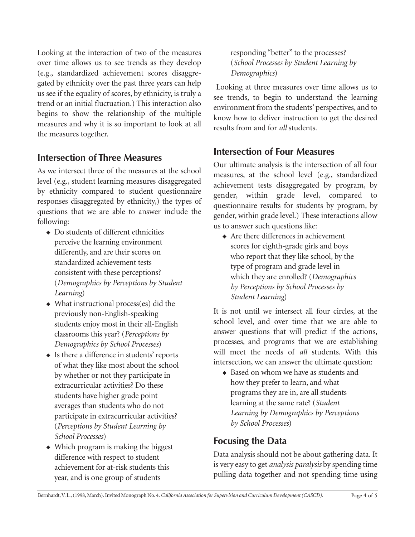Looking at the interaction of two of the measures over time allows us to see trends as they develop (e.g., standardized achievement scores disaggregated by ethnicity over the past three years can help us see if the equality of scores, by ethnicity, is truly a trend or an initial fluctuation.) This interaction also begins to show the relationship of the multiple measures and why it is so important to look at all the measures together.

### **Intersection of Three Measures**

As we intersect three of the measures at the school level (e.g., student learning measures disaggregated by ethnicity compared to student questionnaire responses disaggregated by ethnicity,) the types of questions that we are able to answer include the following:

- ◆ Do students of different ethnicities perceive the learning environment differently, and are their scores on standardized achievement tests consistent with these perceptions? (*Demographics by Perceptions by Student Learning*)
- ◆ What instructional process(es) did the previously non-English-speaking students enjoy most in their all-English classrooms this year? (*Perceptions by Demographics by School Processes*)
- ◆ Is there a difference in students' reports of what they like most about the school by whether or not they participate in extracurricular activities? Do these students have higher grade point averages than students who do not participate in extracurricular activities? (*Perceptions by Student Learning by School Processes*)
- ◆ Which program is making the biggest difference with respect to student achievement for at-risk students this year, and is one group of students

responding "better" to the processes? (*School Processes by Student Learning by Demographics*)

Looking at three measures over time allows us to see trends, to begin to understand the learning environment from the students' perspectives, and to know how to deliver instruction to get the desired results from and for *all* students.

### **Intersection of Four Measures**

Our ultimate analysis is the intersection of all four measures, at the school level (e.g., standardized achievement tests disaggregated by program, by gender, within grade level, compared to questionnaire results for students by program, by gender, within grade level.) These interactions allow us to answer such questions like:

◆ Are there differences in achievement scores for eighth-grade girls and boys who report that they like school, by the type of program and grade level in which they are enrolled? (*Demographics by Perceptions by School Processes by Student Learning*)

It is not until we intersect all four circles, at the school level, and over time that we are able to answer questions that will predict if the actions, processes, and programs that we are establishing will meet the needs of *all* students. With this intersection, we can answer the ultimate question:

◆ Based on whom we have as students and how they prefer to learn, and what programs they are in, are all students learning at the same rate? (*Student Learning by Demographics by Perceptions by School Processes*)

## **Focusing the Data**

Data analysis should not be about gathering data. It is very easy to get *analysis paralysis* by spending time pulling data together and not spending time using